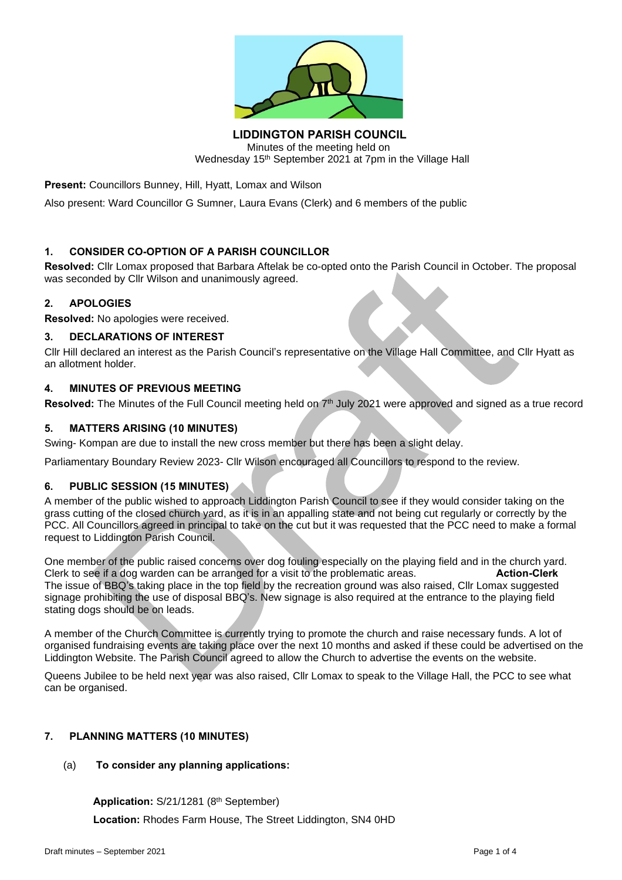

**LIDDINGTON PARISH COUNCIL** Minutes of the meeting held on Wednesday 15<sup>th</sup> September 2021 at 7pm in the Village Hall

**Present:** Councillors Bunney, Hill, Hyatt, Lomax and Wilson

Also present: Ward Councillor G Sumner, Laura Evans (Clerk) and 6 members of the public

## **1. CONSIDER CO-OPTION OF A PARISH COUNCILLOR**

**Resolved:** Cllr Lomax proposed that Barbara Aftelak be co-opted onto the Parish Council in October. The proposal was seconded by Cllr Wilson and unanimously agreed.

## **2. APOLOGIES**

**Resolved:** No apologies were received.

#### **3. DECLARATIONS OF INTEREST**

Cllr Hill declared an interest as the Parish Council's representative on the Village Hall Committee, and Cllr Hyatt as an allotment holder.

#### **4. MINUTES OF PREVIOUS MEETING**

**Resolved:** The Minutes of the Full Council meeting held on 7<sup>th</sup> July 2021 were approved and signed as a true record

## **5. MATTERS ARISING (10 MINUTES)**

Swing- Kompan are due to install the new cross member but there has been a slight delay.

Parliamentary Boundary Review 2023- Cllr Wilson encouraged all Councillors to respond to the review.

## **6. PUBLIC SESSION (15 MINUTES)**

A member of the public wished to approach Liddington Parish Council to see if they would consider taking on the grass cutting of the closed church yard, as it is in an appalling state and not being cut regularly or correctly by the PCC. All Councillors agreed in principal to take on the cut but it was requested that the PCC need to make a formal request to Liddington Parish Council.

One member of the public raised concerns over dog fouling especially on the playing field and in the church yard.<br>Clerk to see if a dog warden can be arranged for a visit to the problematic areas. **Action-Clerk** Clerk to see if a dog warden can be arranged for a visit to the problematic areas. The issue of BBQ's taking place in the top field by the recreation ground was also raised, Cllr Lomax suggested signage prohibiting the use of disposal BBQ's. New signage is also required at the entrance to the playing field stating dogs should be on leads.

A member of the Church Committee is currently trying to promote the church and raise necessary funds. A lot of organised fundraising events are taking place over the next 10 months and asked if these could be advertised on the Liddington Website. The Parish Council agreed to allow the Church to advertise the events on the website.

Queens Jubilee to be held next year was also raised, Cllr Lomax to speak to the Village Hall, the PCC to see what can be organised.

# **7. PLANNING MATTERS (10 MINUTES)**

## (a) **To consider any planning applications:**

**Application:** S/21/1281 (8th September)

**Location:** Rhodes Farm House, The Street Liddington, SN4 0HD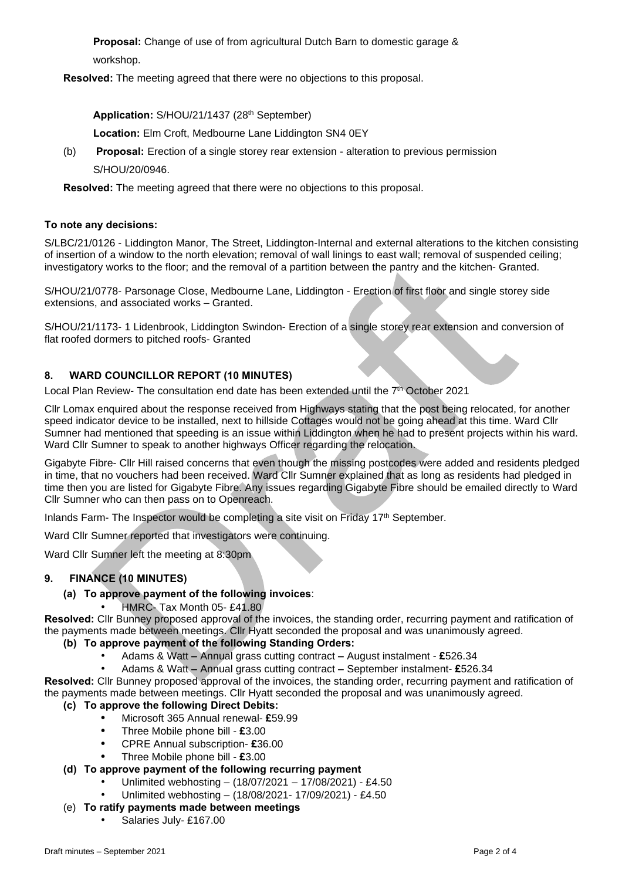**Proposal:** Change of use of from agricultural Dutch Barn to domestic garage & workshop.

**Resolved:** The meeting agreed that there were no objections to this proposal.

**Application:** S/HOU/21/1437 (28th September)

**Location:** Elm Croft, Medbourne Lane Liddington SN4 0EY

(b) **Proposal:** Erection of a single storey rear extension - alteration to previous permission S/HOU/20/0946.

**Resolved:** The meeting agreed that there were no objections to this proposal.

#### **To note any decisions:**

S/LBC/21/0126 - Liddington Manor, The Street, Liddington-Internal and external alterations to the kitchen consisting of insertion of a window to the north elevation; removal of wall linings to east wall; removal of suspended ceiling; investigatory works to the floor; and the removal of a partition between the pantry and the kitchen- Granted.

S/HOU/21/0778- Parsonage Close, Medbourne Lane, Liddington - Erection of first floor and single storey side extensions, and associated works – Granted.

S/HOU/21/1173- 1 Lidenbrook, Liddington Swindon- Erection of a single storey rear extension and conversion of flat roofed dormers to pitched roofs- Granted

## **8. WARD COUNCILLOR REPORT (10 MINUTES)**

Local Plan Review- The consultation end date has been extended until the 7<sup>th</sup> October 2021

Cllr Lomax enquired about the response received from Highways stating that the post being relocated, for another speed indicator device to be installed, next to hillside Cottages would not be going ahead at this time. Ward Cllr Sumner had mentioned that speeding is an issue within Liddington when he had to present projects within his ward. Ward Cllr Sumner to speak to another highways Officer regarding the relocation.

Gigabyte Fibre- Cllr Hill raised concerns that even though the missing postcodes were added and residents pledged in time, that no vouchers had been received. Ward Cllr Sumner explained that as long as residents had pledged in time then you are listed for Gigabyte Fibre. Any issues regarding Gigabyte Fibre should be emailed directly to Ward Cllr Sumner who can then pass on to Openreach.

Inlands Farm- The Inspector would be completing a site visit on Friday 17th September.

Ward Cllr Sumner reported that investigators were continuing.

Ward Cllr Sumner left the meeting at 8:30pm

## **9. FINANCE (10 MINUTES)**

## **(a) To approve payment of the following invoices**:

• HMRC- Tax Month 05- £41.80

**Resolved:** Cllr Bunney proposed approval of the invoices, the standing order, recurring payment and ratification of the payments made between meetings. Cllr Hyatt seconded the proposal and was unanimously agreed.

- **(b) To approve payment of the following Standing Orders:**
	- Adams & Watt **–** Annual grass cutting contract **–** August instalment **£**526.34
	- Adams & Watt **–** Annual grass cutting contract **–** September instalment- **£**526.34

**Resolved:** Cllr Bunney proposed approval of the invoices, the standing order, recurring payment and ratification of the payments made between meetings. Cllr Hyatt seconded the proposal and was unanimously agreed.

## **(c) To approve the following Direct Debits:**

- **•** Microsoft 365 Annual renewal- **£**59.99
- **•** Three Mobile phone bill **£**3.00
- **•** CPRE Annual subscription- **£**36.00
- **•** Three Mobile phone bill **£**3.00

## **(d) To approve payment of the following recurring payment**

- Unlimited webhosting (18/07/2021 17/08/2021) £4.50
- Unlimited webhosting (18/08/2021- 17/09/2021) £4.50

# (e) **To ratify payments made between meetings**

Salaries July- £167.00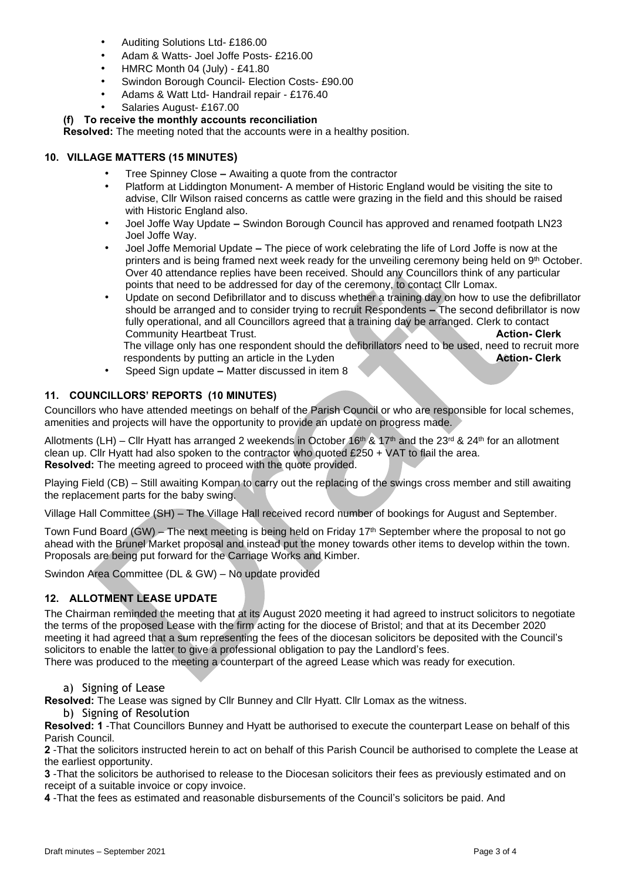- Auditing Solutions Ltd- £186.00
- Adam & Watts- Joel Joffe Posts- £216.00
- HMRC Month 04 (July) £41.80
- Swindon Borough Council- Election Costs- £90.00
- Adams & Watt Ltd- Handrail repair £176.40
- Salaries August- £167.00

## **(f) To receive the monthly accounts reconciliation**

**Resolved:** The meeting noted that the accounts were in a healthy position.

#### **10. VILLAGE MATTERS (15 MINUTES)**

- Tree Spinney Close **–** Awaiting a quote from the contractor
- Platform at Liddington Monument- A member of Historic England would be visiting the site to advise, Cllr Wilson raised concerns as cattle were grazing in the field and this should be raised with Historic England also.
- Joel Joffe Way Update **–** Swindon Borough Council has approved and renamed footpath LN23 Joel Joffe Way.
- Joel Joffe Memorial Update **–** The piece of work celebrating the life of Lord Joffe is now at the printers and is being framed next week ready for the unveiling ceremony being held on  $9^{\text{th}}$  October. Over 40 attendance replies have been received. Should any Councillors think of any particular points that need to be addressed for day of the ceremony, to contact Cllr Lomax.
- Update on second Defibrillator and to discuss whether a training day on how to use the defibrillator should be arranged and to consider trying to recruit Respondents **–** The second defibrillator is now fully operational, and all Councillors agreed that a training day be arranged. Clerk to contact **Community Heartbeat Trust. Action-Clerk** The village only has one respondent should the defibrillators need to be used, need to recruit more respondents by putting an article in the Lyden **Action- Clerk**
- Speed Sign update **–** Matter discussed in item 8

## **11. COUNCILLORS' REPORTS (10 MINUTES)**

Councillors who have attended meetings on behalf of the Parish Council or who are responsible for local schemes, amenities and projects will have the opportunity to provide an update on progress made.

Allotments (LH) – Cllr Hyatt has arranged 2 weekends in October 16<sup>th</sup> & 17<sup>th</sup> and the 23<sup>rd</sup> & 24<sup>th</sup> for an allotment clean up. Cllr Hyatt had also spoken to the contractor who quoted £250 + VAT to flail the area. **Resolved:** The meeting agreed to proceed with the quote provided.

Playing Field (CB) – Still awaiting Kompan to carry out the replacing of the swings cross member and still awaiting the replacement parts for the baby swing.

Village Hall Committee (SH) – The Village Hall received record number of bookings for August and September.

Town Fund Board (GW) – The next meeting is being held on Friday 17<sup>th</sup> September where the proposal to not go ahead with the Brunel Market proposal and instead put the money towards other items to develop within the town. Proposals are being put forward for the Carriage Works and Kimber.

Swindon Area Committee (DL & GW) – No update provided

# **12. ALLOTMENT LEASE UPDATE**

The Chairman reminded the meeting that at its August 2020 meeting it had agreed to instruct solicitors to negotiate the terms of the proposed Lease with the firm acting for the diocese of Bristol; and that at its December 2020 meeting it had agreed that a sum representing the fees of the diocesan solicitors be deposited with the Council's solicitors to enable the latter to give a professional obligation to pay the Landlord's fees.

There was produced to the meeting a counterpart of the agreed Lease which was ready for execution.

## a) Signing of Lease

**Resolved:** The Lease was signed by Cllr Bunney and Cllr Hyatt. Cllr Lomax as the witness.

b) Signing of Resolution

**Resolved: 1** -That Councillors Bunney and Hyatt be authorised to execute the counterpart Lease on behalf of this Parish Council.

**2** -That the solicitors instructed herein to act on behalf of this Parish Council be authorised to complete the Lease at the earliest opportunity.

**3** -That the solicitors be authorised to release to the Diocesan solicitors their fees as previously estimated and on receipt of a suitable invoice or copy invoice.

**4** -That the fees as estimated and reasonable disbursements of the Council's solicitors be paid. And